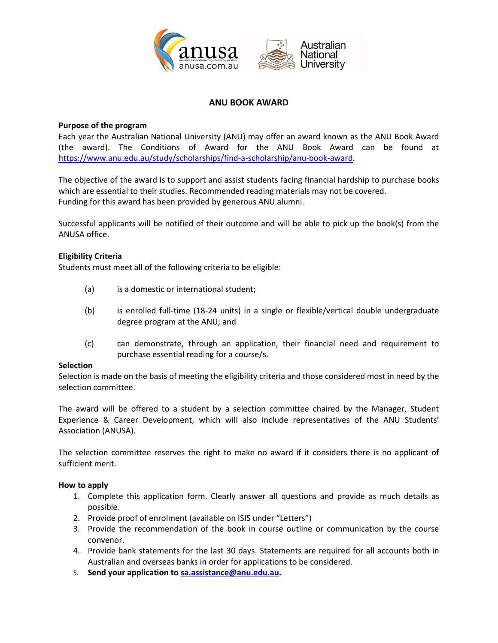

# **ANU BOOK AWARD**

## **Purpose of the program**

Each year the Australian National University (ANU) may offer an award known as the ANU Book Award (the award). The Conditions of Award for the ANU Book Award can be found at [https://www.anu.edu.au/study/scholarships/find-a-scholarship/anu-book-award.](https://www.anu.edu.au/study/scholarships/find-a-scholarship/anu-book-award)

The objective of the award is to support and assist students facing financial hardship to purchase books which are essential to their studies. Recommended reading materials may not be covered. Funding for this award has been provided by generous ANU alumni.

Successful applicants will be notified of their outcome and will be able to pick up the book(s) from the ANUSA office.

## **Eligibility Criteria**

Students must meet all of the following criteria to be eligible:

- (a) is a domestic or international student;
- (b) is enrolled full-time (18-24 units) in a single or flexible/vertical double undergraduate degree program at the ANU; and
- (c) can demonstrate, through an application, their financial need and requirement to purchase essential reading for a course/s.

### **Selection**

Selection is made on the basis of meeting the eligibility criteria and those considered most in need by the selection committee.

The award will be offered to a student by a selection committee chaired by the Manager, Student Experience & Career Development, which will also include representatives of the ANU Students' Association (ANUSA).

The selection committee reserves the right to make no award if it considers there is no applicant of sufficient merit.

### **How to apply**

- 1. Complete this application form. Clearly answer all questions and provide as much details as possible.
- 2. Provide proof of enrolment (available on ISIS under "Letters")
- 3. Provide the recommendation of the book in course outline or communication by the course convenor.
- 4. Provide bank statements for the last 30 days. Statements are required for all accounts both in Australian and overseas banks in order for applications to be considered.
- 5. **Send your application to [sa.assistance@anu.edu.au.](mailto:sa.assistance@anu.edu.au)**